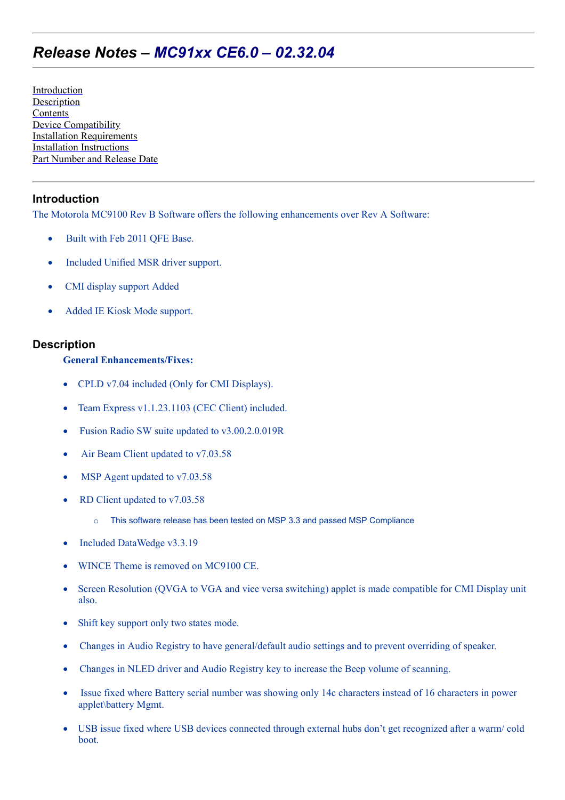# *Release Notes – MC91xx CE6.0 – 02.32.04*

[Introduction](#page-0-0) [Description](#page-0-1) **[Contents](#page-3-0)** [Device Compatibility](#page-3-1) [Installation Requirements](#page-3-2) [Installation Instructions](#page-3-3) [Part Number and Release Date](#page-4-0)

## <span id="page-0-0"></span>**Introduction**

The Motorola MC9100 Rev B Software offers the following enhancements over Rev A Software:

- Built with Feb 2011 OFE Base.
- Included Unified MSR driver support.
- CMI display support Added
- Added IE Kiosk Mode support.

## <span id="page-0-1"></span>**Description**

#### **General Enhancements/Fixes:**

- CPLD v7.04 included (Only for CMI Displays).
- · Team Express v1.1.23.1103 (CEC Client) included.
- Fusion Radio SW suite updated to v3.00.2.0.019R
- Air Beam Client updated to v7.03.58
- MSP Agent updated to v7.03.58
- RD Client updated to v7.03.58
	- o This software release has been tested on MSP 3.3 and passed MSP Compliance
- · Included DataWedge v3.3.19
- WINCE Theme is removed on MC9100 CE.
- Screen Resolution (QVGA to VGA and vice versa switching) applet is made compatible for CMI Display unit also.
- Shift key support only two states mode.
- · Changes in Audio Registry to have general/default audio settings and to prevent overriding of speaker.
- · Changes in NLED driver and Audio Registry key to increase the Beep volume of scanning.
- Issue fixed where Battery serial number was showing only 14c characters instead of 16 characters in power applet\battery Mgmt.
- · USB issue fixed where USB devices connected through external hubs don't get recognized after a warm/ cold boot.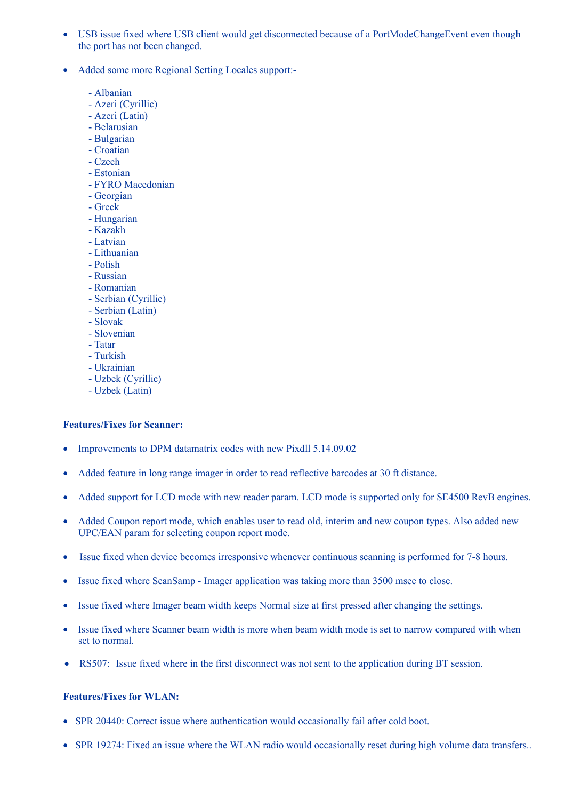- · USB issue fixed where USB client would get disconnected because of a PortModeChangeEvent even though the port has not been changed.
- · Added some more Regional Setting Locales support:-
	- Albanian
	- Azeri (Cyrillic)
	- Azeri (Latin)
	- Belarusian
	- Bulgarian
	- Croatian
	- Czech
	- Estonian
	- FYRO Macedonian
	- Georgian
	- Greek
	- Hungarian
	- Kazakh
	- Latvian
	- Lithuanian - Polish
	-
	- Russian
	- Romanian
	- Serbian (Cyrillic) - Serbian (Latin)
	- Slovak
	-
	- Slovenian
	- Tatar
	- Turkish
	- Ukrainian
	- Uzbek (Cyrillic) - Uzbek (Latin)
	-

#### **Features/Fixes for Scanner:**

- Improvements to DPM datamatrix codes with new Pixdll 5.14.09.02
- · Added feature in long range imager in order to read reflective barcodes at 30 ft distance.
- Added support for LCD mode with new reader param. LCD mode is supported only for SE4500 RevB engines.
- Added Coupon report mode, which enables user to read old, interim and new coupon types. Also added new UPC/EAN param for selecting coupon report mode.
- Issue fixed when device becomes irresponsive whenever continuous scanning is performed for 7-8 hours.
- Issue fixed where ScanSamp Imager application was taking more than 3500 msec to close.
- · Issue fixed where Imager beam width keeps Normal size at first pressed after changing the settings.
- Issue fixed where Scanner beam width is more when beam width mode is set to narrow compared with when set to normal.
- RS507: Issue fixed where in the first disconnect was not sent to the application during BT session.

## **Features/Fixes for WLAN:**

- SPR 20440: Correct issue where authentication would occasionally fail after cold boot.
- SPR 19274: Fixed an issue where the WLAN radio would occasionally reset during high volume data transfers..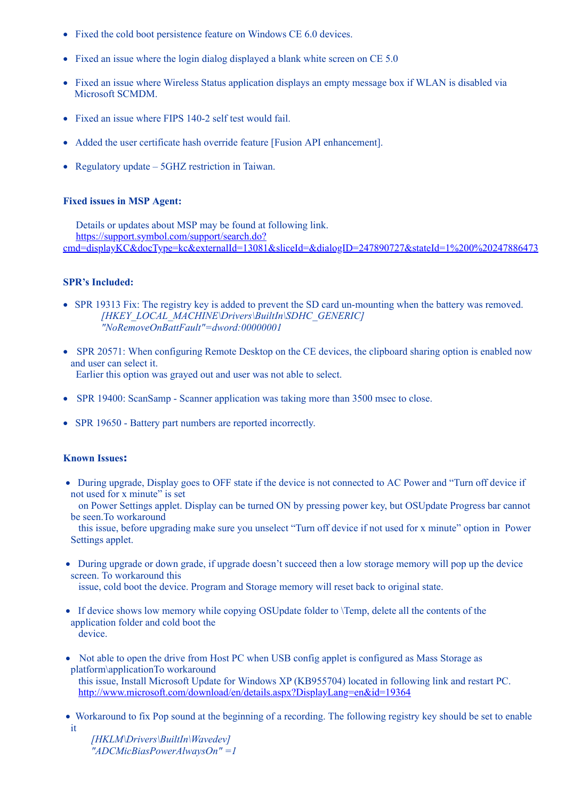- Fixed the cold boot persistence feature on Windows CE 6.0 devices.
- Fixed an issue where the login dialog displayed a blank white screen on CE 5.0
- Fixed an issue where Wireless Status application displays an empty message box if WLAN is disabled via Microsoft SCMDM.
- Fixed an issue where FIPS 140-2 self test would fail.
- · Added the user certificate hash override feature [Fusion API enhancement].
- Regulatory update 5GHZ restriction in Taiwan.

#### **Fixed issues in MSP Agent:**

 Details or updates about MSP may be found at following link. https://support.symbol.com/support/search.do? [cmd=displayKC&docType=kc&externalId=13081&sliceId=&dialogID=247890727&stateId=1%200%20247886473](https://support.symbol.com/support/search.do?cmd=displayKC&docType=kc&externalId=13081&sliceId=&dialogID=247890727&stateId=1%200%20247886473)

#### **SPR's Included:**

- SPR 19313 Fix: The registry key is added to prevent the SD card un-mounting when the battery was removed. *[HKEY\_LOCAL\_MACHINE\Drivers\BuiltIn\SDHC\_GENERIC] "NoRemoveOnBattFault"=dword:00000001*
- SPR 20571: When configuring Remote Desktop on the CE devices, the clipboard sharing option is enabled now and user can select it. Earlier this option was grayed out and user was not able to select.
- SPR 19400: ScanSamp Scanner application was taking more than 3500 msec to close.
- SPR 19650 Battery part numbers are reported incorrectly.

#### **Known Issues:**

• During upgrade, Display goes to OFF state if the device is not connected to AC Power and "Turn off device if not used for x minute" is set

 on Power Settings applet. Display can be turned ON by pressing power key, but OSUpdate Progress bar cannot be seen.To workaround

 this issue, before upgrading make sure you unselect "Turn off device if not used for x minute" option in Power Settings applet.

· During upgrade or down grade, if upgrade doesn't succeed then a low storage memory will pop up the device screen. To workaround this

issue, cold boot the device. Program and Storage memory will reset back to original state.

- If device shows low memory while copying OSUpdate folder to  $\T$ emp, delete all the contents of the application folder and cold boot the device.
- Not able to open the drive from Host PC when USB config applet is configured as Mass Storage as platform\applicationTo workaround this issue, Install Microsoft Update for Windows XP (KB955704) located in following link and restart PC.
	- <http://www.microsoft.com/download/en/details.aspx?DisplayLang=en&id=19364>
- · Workaround to fix Pop sound at the beginning of a recording. The following registry key should be set to enable it

 *[HKLM\Drivers\BuiltIn\Wavedev] "ADCMicBiasPowerAlwaysOn" =1*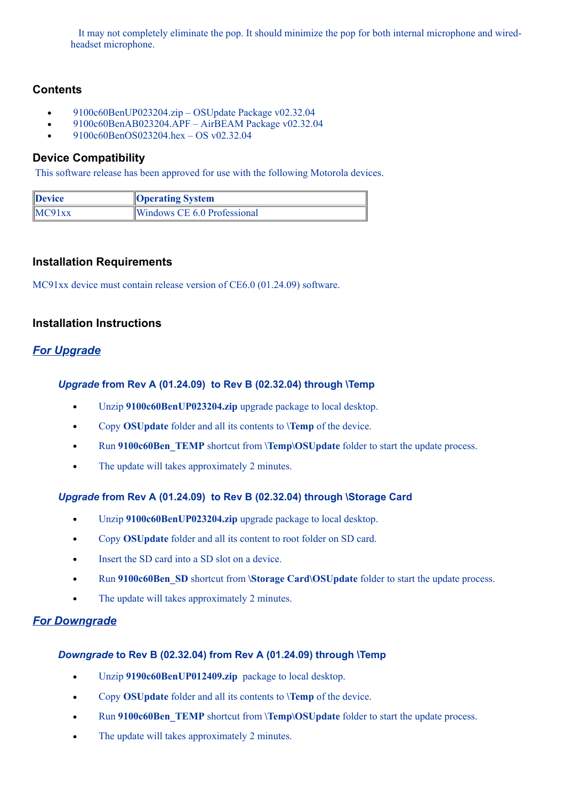It may not completely eliminate the pop. It should minimize the pop for both internal microphone and wiredheadset microphone.

## <span id="page-3-0"></span>**Contents**

- 9100c60BenUP023204.zip OSUpdate Package v02.32.04  $\bullet$
- 9100c60BenAB023204.APF AirBEAM Package v02.32.04  $\bullet$
- 9100c60BenOS023204.hex OS v02.32.04

## <span id="page-3-1"></span>**Device Compatibility**

This software release has been approved for use with the following Motorola devices.

| Device | <b>Operating System</b>     |
|--------|-----------------------------|
| MC91xx | Windows CE 6.0 Professional |

## <span id="page-3-2"></span>**Installation Requirements**

MC91xx device must contain release version of CE6.0 (01.24.09) software.

## <span id="page-3-3"></span>**Installation Instructions**

# *For Upgrade*

#### *Upgrade* **from Rev A (01.24.09) to Rev B (02.32.04) through \Temp**

- Unzip **9100c60BenUP023204.zip** upgrade package to local desktop.  $\bullet$
- Copy **OSUpdate** folder and all its contents to **\Temp** of the device.  $\bullet$
- Run **9100c60Ben\_TEMP** shortcut from **\Temp\OSUpdate** folder to start the update process.  $\bullet$
- The update will takes approximately 2 minutes.  $\bullet$

## *Upgrade* **from Rev A (01.24.09) to Rev B (02.32.04) through \Storage Card**

- $\bullet$ Unzip **9100c60BenUP023204.zip** upgrade package to local desktop.
- Copy **OSUpdate** folder and all its content to root folder on SD card.  $\bullet$
- Insert the SD card into a SD slot on a device.  $\bullet$
- Run **9100c60Ben\_SD** shortcut from **\Storage Card\OSUpdate** folder to start the update process.
- The update will takes approximately 2 minutes.  $\bullet$

## *For Downgrade*

## *Downgrade* **to Rev B (02.32.04) from Rev A (01.24.09) through \Temp**

- Unzip **9190c60BenUP012409.zip** package to local desktop.  $\bullet$
- Copy **OSUpdate** folder and all its contents to **\Temp** of the device.  $\bullet$
- Run **9100c60Ben\_TEMP** shortcut from **\Temp\OSUpdate** folder to start the update process.
- The update will takes approximately 2 minutes. $\bullet$